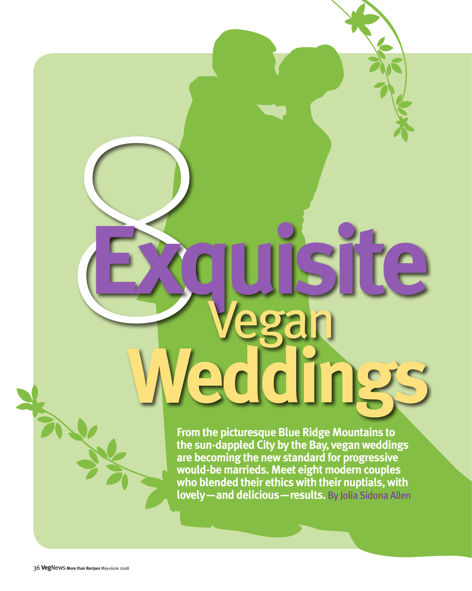# **From the picturesque Blue Ridge Mountains to the sun-dappled City by the Bay, vegan weddings are becoming the new standard for progressive would-be marrieds. Meet eight modern couples who blended their ethics with their nuptials, with lovely—and delicious—results.** By Jolia Sidona Allen **Weddings**

**Exquisite** Vegan

8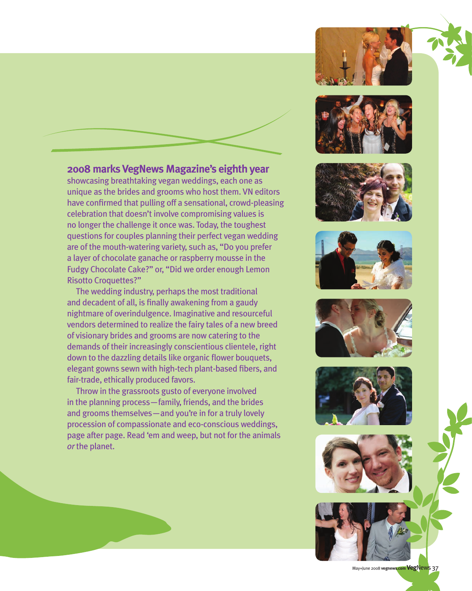## **2008 marks VegNews Magazine's eighth year**

showcasing breathtaking vegan weddings, each one as unique as the brides and grooms who host them. VN editors have confirmed that pulling off a sensational, crowd-pleasing celebration that doesn't involve compromising values is no longer the challenge it once was. Today, the toughest questions for couples planning their perfect vegan wedding are of the mouth-watering variety, such as, "Do you prefer a layer of chocolate ganache or raspberry mousse in the Fudgy Chocolate Cake?" or, "Did we order enough Lemon Risotto Croquettes?"

The wedding industry, perhaps the most traditional and decadent of all, is finally awakening from a gaudy nightmare of overindulgence. Imaginative and resourceful vendors determined to realize the fairy tales of a new breed of visionary brides and grooms are now catering to the demands of their increasingly conscientious clientele, right down to the dazzling details like organic flower bouquets, elegant gowns sewn with high-tech plant-based fibers, and fair-trade, ethically produced favors.

Throw in the grassroots gusto of everyone involved in the planning process—family, friends, and the brides and grooms themselves—and you're in for a truly lovely procession of compassionate and eco-conscious weddings, page after page. Read 'em and weep, but not for the animals *or* the planet.